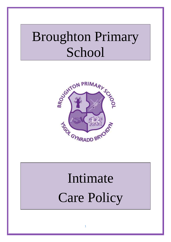## Broughton Primary School



# Intimate Care Policy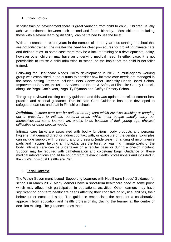#### **1. Introduction**

In toilet training development there is great variation from child to child. Children usually achieve continence between their second and fourth birthday. Most children, including those with a severe learning disability, can be trained to use the toilet.

With an increase in recent years in the number of three year olds starting in school that are not toilet trained, the greater the need for clear procedures for providing intimate care and defined roles. In some case there may be a lack of training or a developmental delay, however other children may have an underlying medical need. In either case, it is not permissible to refuse a child admission to school on the basis that the child is not toilet trained.

Following the Healthcare Needs Policy development in 2017, a multi-agency working group was established in the autumn to consider how intimate care needs are managed in the school setting. Partners included; Betsi Cadwalader Unviersity Health Board, School Improvement Service, Inclusion Services and Health & Safety at Flintshire County Council, alongside Ysgol Cae'r Nant, Ysgol Ty Ffynnon and Golftyn Primary School.

The group reviewed existing county guidance and this was updated to reflect current best practice and national guidance. This Intimate Care Guidance has been developed to safeguard learners and staff in Flintshire schools.

**Definition:** Intimate care can be defined as any care which involves washing or carrying out a procedure to intimate personal areas which most people usually carry out *themselves but some learners are unable to do because of their young age, physical difficulties or other special needs.*

Intimate care tasks are associated with bodily functions, body products and personal hygiene that demand direct or indirect contact with, or exposure of the genitals. Examples can include support with dressing and undressing (underwear), changing of incontinence pads and nappies, helping an individual use the toilet, or washing intimate parts of the body. Intimate care can be undertaken on a regular basis or during a one-off incident. Support may be required with catheterisation and colostomy bags. Guidance on these medical interventions should be sought from relevant Health professionals and included in the child's Individual Healthcare Plan.

## **2. Legal Context**

The Welsh Government issued 'Supporting Learners with Healthcare Needs' Guidance for schools in March 2017. Many learners have a short-term healthcare need at some point, which may affect their participation in educational activities. Other learners may have significant or long-term healthcare needs affecting their cognitive or physical abilities, their behaviour or emotional state. The guidance emphasises the need for a collaborative approach from education and health professionals, placing the learner at the centre of decision making. The guidance states that: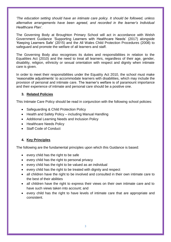*'The education setting should have an intimate care policy. It should be followed, unless alternative arrangements have been agreed, and recorded in the learner's Individual Healthcare Plan'.*

The Governing Body at Broughton Primary School will act in accordance with Welsh Government Guidance 'Supporting Learners with Healthcare Needs' (2017) alongside 'Keeping Learners Safe' (2015) and the All Wales Child Protection Procedures (2008) to safeguard and promote the welfare of all learners and staff.

The Governing Body also recognises its duties and responsibilities in relation to the Equalities Act (2010) and the need to treat all learners, regardless of their age, gender, disability, religion, ethnicity or sexual orientation with respect and dignity when intimate care is given.

In order to meet their responsibilities under the Equality Act 2010, the school must make 'reasonable adjustments' to accommodate learners with disabilities, which may include the provision of personal and intimate care. The learner's welfare is of paramount importance and their experience of intimate and personal care should be a positive one.

## **3. Related Policies**

This Intimate Care Policy should be read in conjunction with the following school policies:

- Safeguarding & Child Protection Policy
- Health and Safety Policy including Manual Handling
- Additional Learning Needs and Inclusion Policy
- Healthcare Needs Policy
- Staff Code of Conduct

## **4. Key Principles**

The following are the fundamental principles upon which this Guidance is based:

- every child has the right to be safe
- every child has the right to personal privacy
- every child has the right to be valued as an individual
- every child has the right to be treated with dignity and respect
- all children have the right to be involved and consulted in their own intimate care to the best of their abilities
- all children have the right to express their views on their own intimate care and to have such views taken into account; and
- every child has the right to have levels of intimate care that are appropriate and consistent.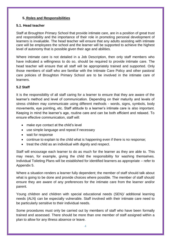## **5. Roles and Responsibilities**

#### **5.1. Head teacher**

Staff at Broughton Primary School that provide intimate care, are in a position of great trust and responsibility and the importance of their role in promoting personal development of learners is invaluable. The head teacher will ensure that any adults assisting with intimate care will be employees the school and the learner will be supported to achieve the highest level of autonomy that is possible given their age and abilities.

Where intimate care is not detailed in a Job Description, then only staff members who have indicated a willingness to do so, should be required to provide intimate care. The head teacher will ensure that all staff will be appropriately trained and supported. Only those members of staff who are familiar with the Intimate Care Policy and other pastoral care policies of Broughton Primary School are to be involved in the intimate care of learners.

#### **5.2 Staff**

It is the responsibility of all staff caring for a learner to ensure that they are aware of the learner's method and level of communication. Depending on their maturity and levels of stress children may communicate using different methods - words, signs, symbols, body movements, eye pointing, etc. Staff attitude to a learner's intimate care is also important. Keeping in mind the learner's age, routine care and can be both efficient and relaxed. To ensure effective communication, staff will:

- make eye contact at the child's level
- use simple language and repeat if necessary
- wait for response
- continue to explain to the child what is happening even if there is no response;
- treat the child as an individual with dignity and respect.

Staff will encourage each learner to do as much for the learner as they are able to. This may mean, for example, giving the child the responsibility for washing themselves. Individual Toileting Plans will be established for identified learners as appropriate – refer to Appendix 5.

Where a situation renders a learner fully dependent; the member of staff should talk about what is going to be done and provide choices where possible. The member of staff should ensure they are aware of any preferences for the intimate care from the learner and/or parent.

Young children and children with special educational needs (SEN)/ additional learning needs (ALN) can be especially vulnerable. Staff involved with their intimate care need to be particularly sensitive to their individual needs.

Some procedures must only be carried out by members of staff who have been formally trained and assessed. There should be more than one member of staff assigned within a plan to allow for any illness absence or leave.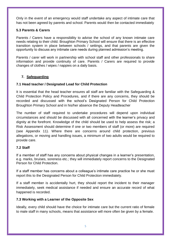Only in the event of an emergency would staff undertake any aspect of intimate care that has not been agreed by parents and school. Parents would then be contacted immediately

## **5.3 Parents & Carers**

Parents / Carers have a responsibility to advise the school of any known intimate care needs relating to their child. Broughton Primary School will ensure that there is an effective transition system in place between schools / settings, and that parents are given the opportunity to discuss any intimate care needs during planned admission's meeting.

Parents / carer will work in partnership with school staff and other professionals to share information and provide continuity of care. Parents / Carers are required to provide changes of clothes / wipes / nappies on a daily basis.

#### **7. Safeguarding**

#### **7.1 Head teacher / Designated Lead for Child Protection**

It is essential that the head teacher ensures all staff are familiar with the Safeguarding & Child Protection Policy and Procedures, and if there are any concerns, they should be recorded and discussed with the school's Designated Person for Child Protection Broughton Primary School and in his/her absence the Deputy Headteacher

The number of staff required to undertake procedures will depend upon individual circumstances and should be discussed with all concerned with the learner's privacy and dignity at the forefront. Knowledge of the child should be used to help assess the risk; a Risk Assessment should determine if one or two members of staff (or more) are required (see Appendix 11). Where there are concerns around child protection, previous allegations, or moving and handling issues, a minimum of two adults would be required to provide care.

## **7.2 Staff**

If a member of staff has any concerns about physical changes in a learner's presentation, e.g. marks, bruises, soreness etc.; they will immediately report concerns to the Designated Person for Child Protection.

If a staff member has concerns about a colleague's intimate care practice he or she must report this to the Designated Person for Child Protection immediately.

If a staff member is accidentally hurt, they should report the incident to their manager immediately, seek medical assistance if needed and ensure an accurate record of what happened is recorded.

#### **7.3 Working with a Learner of the Opposite Sex**

Ideally, every child should have the choice for intimate care but the current ratio of female to male staff in many schools, means that assistance will more often be given by a female.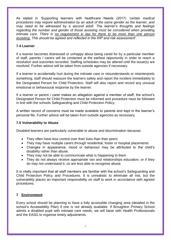As stated in 'Supporting learners with healthcare Needs (2017) '*certain medical procedures may require administration by an adult of the same gender as the learner, and may need to be witnessed by a second adult. The learner's thoughts and feelings regarding the number and gender of those assisting must be considered when providing intimate care. There is no requirement in law for there to be more than one person assisting. This should be agreed and reflected in the IHP and risk assessment'.*

## **7.4 Learner**

If a learner becomes distressed or unhappy about being cared for by a particular member of staff, parents / carers will be contacted at the earliest opportunity in order to reach a resolution and outcomes recorded. Staffing schedules may be altered until the issue(s) are resolved. Further advice will be taken from outside agencies if necessary.

If a learner is accidentally hurt during the intimate care or misunderstands or misinterprets something, staff should reassure the learners safety and report the incident immediately to the Designated Person for Child Protection. Staff will also report and record any unusual emotional or behavioural response by the learner.

If a learner or parent / carer makes an allegation against a member of staff, the school's Designated Person for Child Protection must be informed and procedure must be followed in line with the schools Safeguarding and Child Protection Policy.

A written record of concerns must be made available to parents and kept in the learner's personal file. Further advice will be taken from outside agencies as necessary.

## **7.5 Vulnerability to Abuse**

Disabled learners are particularly vulnerable to abuse and discrimination because:

- They often have less control over their lives than their peers
- They may have multiple carers through residential, foster or hospital placements
- Changes in appearance, mood or behaviour may be attributed to the child's disability rather than abuse.
- They may not be able to communicate what is happening to them
- They do not always receive appropriate sex and relationships education, or if they do may not understand it, so are less able to recognise abuse.

It is vitally important that all staff members are familiar with the school's Safeguarding and Child Protection Policy and Procedures. It is unrealistic to eliminate all risk, but the vulnerability places an important responsibility on staff to work in accordance with agreed procedures.

## **7 Environment**

Every school should be planning to have a fully accessible changing area (detailed in the school's Accessibility Plan) if one is not already available. If Broughton Primary School admits a disabled pupil with intimate care needs, we will liaise with Health Professionals and the EASG to organise timely adjustments.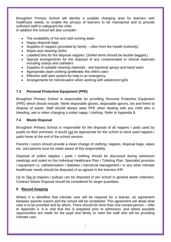Broughton Primary School will identify a suitable changing area for learners with healthcare needs, to enable the privacy of learners to be maintained and to provide sufficient staff to safeguard the child.

In addition the school will also consider:

- The availability of hot and cold running water
- Nappy disposal bags
- Supplies of nappies (provided by family often from the Health Authority)
- Wipes and cleaning cloths
- Labelled bins for the disposal nappies. (Soiled items should be double-bagged.)
- Special arrangements for the disposal of any contaminated or clinical materials including sharps and catheters
- Supplies of suitable cleaning materials anti-bacterial sprays and hand wash
- Appropriate clean clothing (preferably the child's own)
- Effective staff alert system for help in an emergency
- Arrangements for menstruation when working with adolescent girls

## **7.3 Personal Protective Equipment (PPE)**

Broughton Primary School is responsible for providing Personal Protective Equipment (PPE) which should include: Nitrile disposable gloves, disposable aprons, bin and liners to dispose of waste. Staff should always wear PPE when dealing with any child who is bleeding, wet or when changing a soiled nappy / clothing. Refer to Appendix 8.

#### **7.4 Waste Disposal**

Broughton Primary School is responsible for the disposal of all nappies / pads used by pupils on their premises. It would not be appropriate for the school to send used nappies / pads home at the end of the school session.

Parents / carers should provide a clean change of clothing, nappies, disposal bags, wipes etc. and parents must be made aware of this responsibility.

Disposal of soiled nappies / pads / clothing should be discussed during admission meetings and noted on the Individual Healthcare Plan / Toileting Plan. Specialist provision / equipment i.e. catheterisation / diabetes / menstrual management / or any other intimate healthcare needs should be disposed of as agreed in the learners IHP.

Up to **7kg of nappies** / pullups can be disposed of per school in general waste collection. Contract Waste Disposal should be considered for larger quantities.

## **8 Record Keeping**

Where it is identified that intimate care will be required for a learner, an agreement between parents /carers and the school will be completed. This agreement will detail what care is to be provided and by whom. There should be more than one named person – refer to Appendix 4. It is vital that this is prepared prior to admission, and where possible opportunities are made for the pupil and family to meet the staff who will be providing intimate care.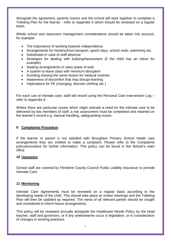Alongside the agreement, parents /carers and the school will work together to complete a Toileting Plan for the learner - refer to Appendix 5 which should be reviewed on a regular basis.

Whole school and classroom management considerations should be taken into account, for example:

- The importance of working towards independence
- Arrangements for home/school transport, sports days, school visits, swimming etc.
- Substitutes in case of staff absence
- Strategies for dealing with bullying/harassment (if the child has an odour for example)
- Seating arrangements in class (ease of exit)
- A system to leave class with minimum disruption
- Avoiding missing the same lesson for medical routines
- Awareness of discomfort that may disrupt learning
- Implications for PE (changing, discreet clothing etc.)

For each use of intimate care, staff will record using the Personal Care Intervention Log – refer to Appendix 6.

Where there are particular issues which might indicate a need for the intimate care to be delivered by two members of staff; a risk assessment must be completed and retained on the learner's record e.g. manual handling, safeguarding issues.

## **9 Complaints Procedure**

If the learner or parent is not satisfied with Broughton Primary School health care arrangements they are entitled to make a complaint. Please refer to the Complaints policy/procedure for further information. This policy can be found in the School's main office

#### **10** I**nsurance**

School staff are covered by Flintshire County Council Public Liability Insurance to provide Intimate Care.

#### **11 Monitoring**

Intimate Care Agreements must be reviewed on a regular basis according to the developing needs of the child. This should take place at review meetings and the Toileting Plan will then be updated as required. The views of all relevant parties should be sought and considered to inform future arrangements.

This policy will be reviewed annually alongside the Healthcare Needs Policy by the head teacher, staff and governors, or if any amendments occur in legislation, or in consideration of changes in working practices.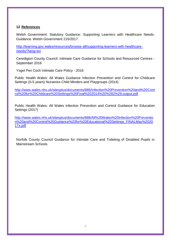## **12 References**

Welsh Government: Statutory Guidance: Supporting Learners with Healthcare Needs. Guidance. Welsh Government 215/2017.

[http://learning.gov.wales/resources/browse-all/supporting-learners-with-healthcare](http://learning.gov.wales/resources/browse-all/supporting-learners-with-healthcare-needs/?lang=en)[needs/?lang=en](http://learning.gov.wales/resources/browse-all/supporting-learners-with-healthcare-needs/?lang=en)

Ceredigion County Council: Intimate Care Guidance for Schools and Resourced Centres - September 2016

Ysgol Pen Coch Intimate Care Policy - 2016

Public Health Wales: All Wales Guidance Infection Prevention and Control for Childcare Settings (0-5 years) Nurseries Child Minders and Playgroups (2014)

[http://www.wales.nhs.uk/sitesplus/documents/888/Infection%20Prevention%20and%20Cont](http://www.wales.nhs.uk/sitesplus/documents/888/Infection%20Prevention%20and%20Control%20for%20Childcare%20Settings%20Final%202014%20%282%29.output.pdf) [rol%20for%20Childcare%20Settings%20Final%202014%20%282%29.output.pdf](http://www.wales.nhs.uk/sitesplus/documents/888/Infection%20Prevention%20and%20Control%20for%20Childcare%20Settings%20Final%202014%20%282%29.output.pdf)

Public Health Wales: All Wales Infection Prevention and Control Guidance for Education Settings (2017)

[http://www.wales.nhs.uk/sitesplus/documents/888/All%20Wales%20Infection%20Preventio](http://www.wales.nhs.uk/sitesplus/documents/888/All%20Wales%20Infection%20Prevention%20and%20Control%20Guidance%20for%20Educational%20Settings_FINALMay%202017x.pdf) [n%20and%20Control%20Guidance%20for%20Educational%20Settings\\_FINALMay%2020](http://www.wales.nhs.uk/sitesplus/documents/888/All%20Wales%20Infection%20Prevention%20and%20Control%20Guidance%20for%20Educational%20Settings_FINALMay%202017x.pdf) [17x.pdf](http://www.wales.nhs.uk/sitesplus/documents/888/All%20Wales%20Infection%20Prevention%20and%20Control%20Guidance%20for%20Educational%20Settings_FINALMay%202017x.pdf)

Norfolk County Council Guidance for Intimate Care and Toileting of Disabled Pupils in Mainstream Schools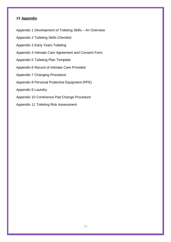Appendix 1 Development of Toileting Skills – An Overview

- Appendix 2 Toileting Skills Checklist
- Appendix 3 Early Years Toileting
- Appendix 4 Intimate Care Agreement and Consent Form
- Appendix 5 Toileting Plan Template
- Appendix 6 Record of Intimate Care Provided
- Appendix 7 Changing Procedure
- Appendix 8 Personal Protective Equipment (PPE)
- Appendix 9 Laundry
- Appendix 10 Continence Pad Change Procedure
- Appendix 11 Toileting Risk Assessment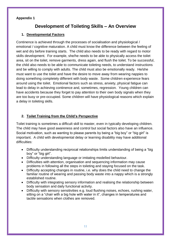## **Development of Toileting Skills – An Overview**

## **1. Developmental Factors**

Continence is achieved through the processes of socialisation and physiological / emotional / cognitive maturation. A child must know the difference between the feeling of wet and dry before training starts. The child also needs to be ready with regard to motor skills development. For example, she/he needs to be able to physically access the toilet area, sit on the toilet, remove garments, dress again, and flush the toilet. To be successful, the child also needs to be able to communicate toileting needs, to understand instructions and be willing to comply with adults. The child must also be emotionally ready. He/she must want to use the toilet and have the desire to move away from wearing nappies to doing something completely different with body waste. Some children experience fears around using the toilet. Emotional factors such as stress, anxiety, physical fatigue can lead to delay in achieving continence and, sometimes, regression. Young children can have accidents because they forget to pay attention to their own body signals when they are too busy or pre-occupied. Some children will have physiological reasons which explain a delay in toileting skills.

## **2. Toilet Training from the Child's Perspective**

Toilet training is sometimes a difficult skill to master, even in typically developing children. The child may have good awareness and control but social factors also have an influence. Social motivation, such as wanting to please parents by being a "big boy" or "big girl" is important. A child with developmental delay or learning disability may have additional difficulties:

- Difficulty understanding reciprocal relationships limits understanding of being a "big boy" or "big girl".
- Difficulty understanding language or imitating modelled behaviour.
- Difficulties with attention, organisation and sequencing information may cause problems in following all the steps in toileting and staying focused on the task.
- Difficulty accepting changes in routine, i.e. why does the child need to change the familiar routine of wearing and passing body waste into a nappy which is a strongly established routine.
- Difficulty with integrating sensory information and realising the relationship between body sensation and daily functional activity.
- Difficulty with sensory sensitivities e.g. loud flushing noises, echoes, rushing water, sitting on a "chair with a big hole with water in it", changes in temperatures and tactile sensations when clothes are removed.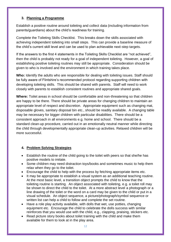## **3. Planning a Programme**

Establish a positive routine around toileting and collect data (including information from parents/guardians) about the child's readiness for training.

Complete the Toileting Skills Checklist. This breaks down the skills associated with achieving independent toileting into small steps. This can provide a baseline measure of the child's current skill level and can be used to plan achievable next-step targets.

If the answers to the first 4 statements in the Toileting Skills Checklist are "not achieved", then the child is probably not ready for a goal of independent toileting. However, a goal of establishing positive toileting routines may still be appropriate. Consideration should be given to who is involved and the environment in which training takes place.

Who: Identify the adults who are responsible for dealing with toileting issues. Staff should be fully aware of Flintshire's recommended protocol regarding supporting children with developing toileting skills. This should be shared with parents. Staff will need to work closely with parents to establish consistent routines and appropriate shared goals.

**Where:** Toilet areas in school should be comfortable and non-threatening so that children are happy to be there. There should be private areas for changing children to maintain an appropriate level of respect and discretion. Appropriate equipment such as changing mat, disposable gloves, sanitary disposal bin etc., should be readily available. A changing table may be necessary for bigger children with particular disabilities. There should be a consistent approach in all environments e.g. home and school. There should be a standard clean-up procedure, carried out in an emotionally neutral manner while directing the child through developmentally appropriate clean-up activities. Relaxed children will be more successful.

## **4. Problem Solving Strategies**

- Establish the routine of the child going to the toilet with peers so that she/he has positive models to imitate.
- Some children may need distraction toys/books and sometimes music to help them relax when they go to the toilet.
- Encourage the child to help with the process by fetching appropriate items etc.
- It may be appropriate to establish a visual system as an additional teaching routine. At the most basic level, a transition object prompts the child to know that the toileting routine is starting. An object associated with toileting, e.g. a toilet roll may be shown to direct the child to the toilet. At a more abstract level a photograph or a line drawing of the toilet or the word on a card may be given to the child or put in a visual schedule. An object sequence, a picture/photograph/symbol sequence or written list can help a child to follow and complete the set routine.
- Have a role play activity available, with dolls that wet, use potties, changing equipment etc. Encourage the child to celebrate the dolls success with similar reinforces that you would use with the child, e.g., clapping, praising, stickers etc.
- Read picture story books about toilet training with the child and make them available for them to look at in the play area.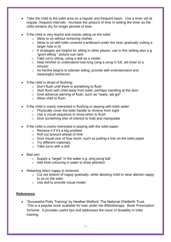- Take the child to the toilet area on a regular and frequent basis. Use a timer set at regular, frequent intervals. Increase the amount of time in setting the timer as the child remains dry for longer periods of time.
- If the child is very fearful and resists sitting on the toilet:
	- o Allow to sit without removing clothes
	- o Allow to sit with toilet covered (cardboard under the seat, gradually cutting a larger hole in it)
	- o If strategies are helpful for sitting in other places, use in this setting also e.g. "good sitting " picture cue card
	- o Take turns sitting, using a doll as a model
	- o Help him/her to understand how long (sing a song in full, set timer to a minute)
	- o As he/she begins to tolerate sitting, provide with entertainment and meaningful reinforces
- If the child is afraid of flushing:
	- o Don't flush until there is something to flush
	- o Start flush with child away from toilet, perhaps standing at the door
	- o Give advance warning of flush, such as "ready, set go!"
	- o Allow child to flush
- If the child is overly interested in flushing or playing with toilet water:
	- o Physically cover the toilet handle to remove from sight
	- o Use a visual sequence to show when to flush
	- o Give something else of interest to hold and manipulate
- If the child is overly interested in playing with the toilet paper:
	- $\circ$  Remove it if it's a big problem
	- o Roll out amount ahead of time
	- o Give visual clue of how much, such as putting a line on the toilet paper
	- o Try different materials
	- $\circ$  Take turns with a doll
- Bad aim:
	- $\circ$  Supply a "target" in the water e.g. ping pong ball
	- o Add food colouring in water to draw attention
- Retaining when nappy is removed:
	- o Cut out bottom of nappy gradually, while allowing child to wear altered nappy to sit on the toilet
	- o Use doll to provide visual model

## **References**

 "Successful Potty Training" by Heather Welford: The National Childbirth Trust. This is a popular book available for loan under the Bibliotherapy: Book Prescription Scheme. It provides useful tips and addresses the issue of disability in toilet training.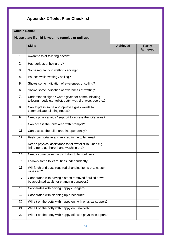## **Appendix 2 Toilet Plan Checklist**

| <b>Child's Name:</b> |                                                                                                                   |                 |                                  |
|----------------------|-------------------------------------------------------------------------------------------------------------------|-----------------|----------------------------------|
|                      | Please state if child is wearing nappies or pull-ups:                                                             |                 |                                  |
|                      | <b>Skills</b>                                                                                                     | <b>Achieved</b> | <b>Partly</b><br><b>Achieved</b> |
| 1.                   | Awareness of toileting needs?                                                                                     |                 |                                  |
| 2.                   | Has periods of being dry?                                                                                         |                 |                                  |
| 3.                   | Some regularity in wetting / soiling?                                                                             |                 |                                  |
| 4.                   | Pauses while wetting / soiling?                                                                                   |                 |                                  |
| 5.                   | Shows some indication of awareness of soiling?                                                                    |                 |                                  |
| 6.                   | Shows some indication of awareness of wetting?                                                                    |                 |                                  |
| 7.                   | Understands signs / words given for communicating<br>toileting needs e.g. toilet, potty, wet, dry, wee, poo etc.? |                 |                                  |
| 8.                   | Can express some appropriate signs / words to<br>communicate toileting needs?                                     |                 |                                  |
| 9.                   | Needs physical aids / support to access the toilet area?                                                          |                 |                                  |
| 10.                  | Can access the toilet area with prompts?                                                                          |                 |                                  |
| 11.                  | Can access the toilet area independently?                                                                         |                 |                                  |
| 12.                  | Feels comfortable and relaxed in the toilet area?                                                                 |                 |                                  |
| 13.                  | Needs physical assistance to follow toilet routines e.g.<br>lining up to go there, hand washing etc?              |                 |                                  |
| 14.                  | Needs some prompting to follow toilet routines?                                                                   |                 |                                  |
| 15.                  | Follows some toilet routines independently?                                                                       |                 |                                  |
| 16.                  | Will fetch and pass required changing items e.g. nappy,<br>wipes etc?                                             |                 |                                  |
| 17.                  | Cooperates with having clothes removed / pulled down<br>by appointed adult, for changing purposes?                |                 |                                  |
| 18.                  | Cooperates with having nappy changed?                                                                             |                 |                                  |
| 19.                  | Cooperates with cleaning up procedures?                                                                           |                 |                                  |
| 20.                  | Will sit on the potty with nappy on, with physical support?                                                       |                 |                                  |
| 21.                  | Will sit on the potty with nappy on, unaided?                                                                     |                 |                                  |
| 22.                  | Will sit on the potty with nappy off, with physical support?                                                      |                 |                                  |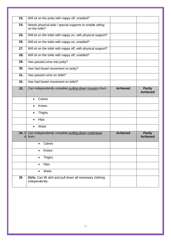| 23.                    | Will sit on the potty with nappy off, unaided?                             |                 |                                  |  |  |  |  |
|------------------------|----------------------------------------------------------------------------|-----------------|----------------------------------|--|--|--|--|
|                        |                                                                            |                 |                                  |  |  |  |  |
| 24.                    | Needs physical aids / special supports to enable sitting<br>on the toilet? |                 |                                  |  |  |  |  |
| 25.                    | Will sit on the toilet with nappy on, with physical support?               |                 |                                  |  |  |  |  |
| 26.                    | Will sit on the toilet with nappy on, unaided?                             |                 |                                  |  |  |  |  |
| 27.                    | Will sit on the toilet with nappy off, with physical support?              |                 |                                  |  |  |  |  |
| 28.                    | Will sit on the toilet with nappy off, unaided?                            |                 |                                  |  |  |  |  |
| 29.                    | Has passed urine into potty?                                               |                 |                                  |  |  |  |  |
| 30.                    | Has had bowel movement on potty?                                           |                 |                                  |  |  |  |  |
| 31.                    | Has passed urine on toilet?                                                |                 |                                  |  |  |  |  |
| 32.                    | Has had bowel movement on toilet?                                          |                 |                                  |  |  |  |  |
| 33.                    | Can independently complete pulling down trousers from:                     | <b>Achieved</b> | <b>Partly</b><br><b>Achieved</b> |  |  |  |  |
|                        | Calves<br>$\bullet$                                                        |                 |                                  |  |  |  |  |
|                        | Knees<br>$\bullet$                                                         |                 |                                  |  |  |  |  |
|                        | <b>Thighs</b><br>$\bullet$                                                 |                 |                                  |  |  |  |  |
|                        | <b>Hips</b><br>$\bullet$                                                   |                 |                                  |  |  |  |  |
|                        | Waist<br>$\bullet$                                                         |                 |                                  |  |  |  |  |
| 34.3<br>4 <sup>1</sup> | Can independently complete pulling down underwear<br>from:                 | <b>Achieved</b> | <b>Partly</b><br><b>Achieved</b> |  |  |  |  |
|                        | Calves                                                                     |                 |                                  |  |  |  |  |
|                        | Knees<br>$\bullet$                                                         |                 |                                  |  |  |  |  |
|                        |                                                                            |                 |                                  |  |  |  |  |
|                        | <b>Thighs</b><br>$\bullet$                                                 |                 |                                  |  |  |  |  |
|                        | <b>Hips</b><br>$\bullet$                                                   |                 |                                  |  |  |  |  |
|                        | Waist<br>$\bullet$                                                         |                 |                                  |  |  |  |  |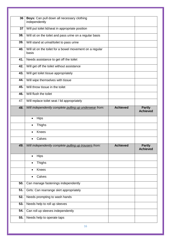| 36  | Boys: Can pull down all necessary clothing<br>independently       |                 |                                  |  |  |  |  |  |
|-----|-------------------------------------------------------------------|-----------------|----------------------------------|--|--|--|--|--|
| 37  | Will put toilet lid/seat in appropriate position                  |                 |                                  |  |  |  |  |  |
| 38. | Will sit on the toilet and pass urine on a regular basis          |                 |                                  |  |  |  |  |  |
| 39. | Will stand at urinal/toilet to pass urine                         |                 |                                  |  |  |  |  |  |
| 40. | Will sit on the toilet for a bowel movement on a regular<br>basis |                 |                                  |  |  |  |  |  |
| 41. | Needs assistance to get off the toilet                            |                 |                                  |  |  |  |  |  |
| 42. | Will get off the toilet without assistance                        |                 |                                  |  |  |  |  |  |
| 43. | Will get toilet tissue appropriately                              |                 |                                  |  |  |  |  |  |
| 44. | Will wipe themselves with tissue                                  |                 |                                  |  |  |  |  |  |
| 45. | Will throw tissue in the toilet                                   |                 |                                  |  |  |  |  |  |
| 46. | Will flush the toilet                                             |                 |                                  |  |  |  |  |  |
| 47. | Will replace toilet seat / lid appropriately                      |                 |                                  |  |  |  |  |  |
| 48. | Will independently complete pulling up underwear from:            | <b>Achieved</b> | <b>Partly</b><br><b>Achieved</b> |  |  |  |  |  |
|     | <b>Hips</b><br>$\bullet$                                          |                 |                                  |  |  |  |  |  |
|     | <b>Thighs</b><br>$\bullet$                                        |                 |                                  |  |  |  |  |  |
|     | Knees<br>$\bullet$                                                |                 |                                  |  |  |  |  |  |
|     | Calves                                                            |                 |                                  |  |  |  |  |  |
| 49. | Will independently complete pulling up trousers from:             | <b>Achieved</b> | <b>Partly</b><br><b>Achieved</b> |  |  |  |  |  |
|     | <b>Hips</b><br>$\bullet$                                          |                 |                                  |  |  |  |  |  |
|     | <b>Thighs</b>                                                     |                 |                                  |  |  |  |  |  |
|     | Knees                                                             |                 |                                  |  |  |  |  |  |
|     | Calves                                                            |                 |                                  |  |  |  |  |  |
|     |                                                                   |                 |                                  |  |  |  |  |  |
| 50. | Can manage fastenings independently                               |                 |                                  |  |  |  |  |  |
| 51. | Girls: Can rearrange skirt appropriately                          |                 |                                  |  |  |  |  |  |
| 52. | Needs prompting to wash hands                                     |                 |                                  |  |  |  |  |  |
| 53. | Needs help to roll up sleeves                                     |                 |                                  |  |  |  |  |  |
| 54. | Can roll up sleeves independently                                 |                 |                                  |  |  |  |  |  |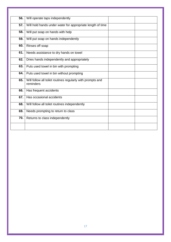| 56. | Will operate taps independently                                         |  |
|-----|-------------------------------------------------------------------------|--|
|     |                                                                         |  |
| 57. | Will hold hands under water for appropriate length of time              |  |
| 58. | Will put soap on hands with help                                        |  |
| 59. | Will put soap on hands independently                                    |  |
| 60. | Rinses off soap                                                         |  |
| 61. | Needs assistance to dry hands on towel                                  |  |
| 62. | Dries hands independently and appropriately                             |  |
| 63. | Puts used towel in bin with prompting                                   |  |
| 64. | Puts used towel in bin without prompting                                |  |
| 65. | Will follow all toilet routines regularly with prompts and<br>reminders |  |
| 66. | Has frequent accidents                                                  |  |
| 67. | Has occasional accidents                                                |  |
| 68. | Will follow all toilet routines independently                           |  |
| 69. | Needs prompting to return to class                                      |  |
| 70. | Returns to class independently                                          |  |
|     |                                                                         |  |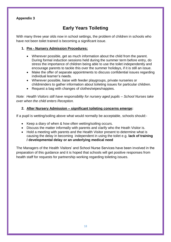## **Early Years Toileting**

With many three year olds now in school settings, the problem of children in schools who have not been toilet trained is becoming a significant issue.

## **1. Pre - Nursery Admission Procedures:**

- Wherever possible, get as much information about the child from the parent. During formal induction sessions held during the summer term before entry, do stress the importance of children being able to use the toilet independently and encourage parents to tackle this over the summer holidays, if it is still an issue.
- Make the offer of separate appointments to discuss confidential issues regarding individual learner's needs.
- Wherever possible, liaise with feeder playgroups, private nurseries or childminders to gather information about toileting issues for particular children.
- Request a bag with changes of clothes/wipes/nappies.

*Note: Health Visitors still have responsibility for nursery aged pupils – School Nurses take over when the child enters Reception.*

## **2. After Nursery Admission – significant toileting concerns emerge:**

If a pupil is wetting/soiling above what would normally be acceptable, schools should:-

- Keep a diary of when & how often wetting/soiling occurs.
- Discuss the matter informally with parents and clarify who the Heath Visitor is.
- Hold a meeting with parents and the Health Visitor present to determine what is causing the delay in becoming independent in using the toilet e.g. **lack of training / developmental delay or an underlying medical need**

The Managers of the Health Visitors' and School Nurse Services have been involved in the preparation of this guidance and it is hoped that schools will get positive responses from health staff for requests for partnership working regarding toileting issues.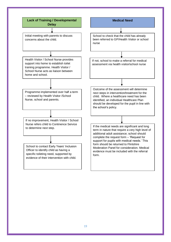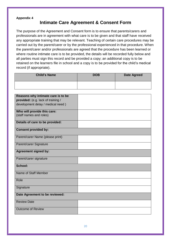## **Intimate Care Agreement & Consent Form**

The purpose of the Agreement and Consent form is to ensure that parents/carers and professionals are in agreement with what care is to be given and that staff have received any appropriate training that may be relevant. Teaching of certain care procedures may be carried out by the parent/carer or by the professional experienced in that procedure. When the parent/carer and/or professionals are agreed that the procedure has been learned or where routine intimate care is to be provided, the details will be recorded fully below and all parties must sign this record and be provided a copy; an additional copy is to be retained on the learners file in school and a copy is to be provided for the child's medical record (if appropriate).

| <b>Child's Name</b> | <b>DOB</b> | <b>Date Agreed</b> |
|---------------------|------------|--------------------|
|                     |            |                    |
|                     |            |                    |

| Reasons why intimate care is to be |  |
|------------------------------------|--|
| provided: (e.g. lack of training / |  |
| development delay / medical need)  |  |
|                                    |  |
| Who will provide this care:        |  |
| (staff names and roles)            |  |
| Details of care to be provided:    |  |
|                                    |  |
| <b>Consent provided by:</b>        |  |
|                                    |  |
| Parent/carer Name (please print)   |  |
| Parent/carer Signature             |  |
|                                    |  |
| <b>Agreement signed by:</b>        |  |
|                                    |  |
| Parent/carer signature             |  |
| <b>School:</b>                     |  |
|                                    |  |
| Name of Staff Member               |  |
|                                    |  |
| Role                               |  |
|                                    |  |
| Signature                          |  |
| Date Agreement to be reviewed:     |  |
|                                    |  |
| <b>Review Date</b>                 |  |
|                                    |  |
| <b>Outcome of Review</b>           |  |
|                                    |  |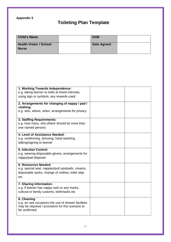## **Toileting Plan Template**

| <b>Child's Name</b>            | <b>DOB</b>         |  |
|--------------------------------|--------------------|--|
| <b>Health Visitor / School</b> | <b>Date Agreed</b> |  |
| <b>Nurse</b>                   |                    |  |

| 1. Working Towards Independence:<br>e.g. taking learner to toilet at timed intervals,<br>using sign or symbols, any rewards used       |  |
|----------------------------------------------------------------------------------------------------------------------------------------|--|
| 2. Arrangements for changing of nappy / pad /<br>clothing:<br>e.g. who, where, when, arrangements for privacy                          |  |
| 3. Staffing Requirements:<br>e.g. how many, who, (there should be more than<br>one named person)                                       |  |
| 4. Level of Assistance Needed:<br>e.g. undressing, dressing, hand washing,<br>talking/signing to learner                               |  |
| <b>5. Infection Control:</b><br>e.g. wearing disposable gloves, arrangements for<br>nappy/pad disposal                                 |  |
| 6. Resources Needed:<br>e.g. special seat, nappies/pull ups/pads, creams,<br>disposable sacks, change of clothes, toilet step<br>etc   |  |
| 7. Sharing Information:<br>e.g. if learner has nappy rash or any marks,<br>cultural or family customs, birthmarks etc                  |  |
| 8. Cleaning<br>e.g. on rare occasions the use of shower facilities<br>may be required / procedure for this scenario to<br>be confirmed |  |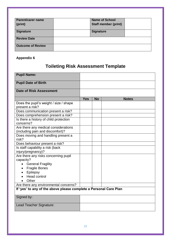| Parent/carer name<br>(print) | <b>Name of School</b><br><b>Staff member (print)</b> |  |
|------------------------------|------------------------------------------------------|--|
| <b>Signature</b>             | <b>Signature</b>                                     |  |
| <b>Review Date</b>           |                                                      |  |
| <b>Outcome of Review</b>     |                                                      |  |

## **Toileting Risk Assessment Template**

| <b>Pupil Name:</b>                                                       |            |           |              |
|--------------------------------------------------------------------------|------------|-----------|--------------|
| <b>Pupil Date of Birth</b>                                               |            |           |              |
| Date of Risk Assessment                                                  |            |           |              |
|                                                                          | <b>Yes</b> | <b>No</b> | <b>Notes</b> |
| Does the pupil's weight / size / shape<br>present a risk?                |            |           |              |
| Does communication present a risk?                                       |            |           |              |
| Does comprehension present a risk?                                       |            |           |              |
| Is there a history of child protection<br>concerns?                      |            |           |              |
| Are there any medical considerations<br>(including pain and discomfort)? |            |           |              |
| Does moving and handling present a<br>risk?                              |            |           |              |
| Does behaviour present a risk?                                           |            |           |              |
| Is staff capability a risk (back<br>injury/pregnancy)?                   |            |           |              |
| Are there any risks concerning pupil                                     |            |           |              |
| capacity?                                                                |            |           |              |
| <b>General Fragility</b><br><b>Fragile Bones</b>                         |            |           |              |
| Epilepsy                                                                 |            |           |              |
| <b>Head control</b>                                                      |            |           |              |
| Other                                                                    |            |           |              |
| Are there any environmental concerns?                                    |            |           |              |
| If 'yes' to any of the above please complete a Personal Care Plan        |            |           |              |
| Signed by:                                                               |            |           |              |
| Lead Teacher Signature:                                                  |            |           |              |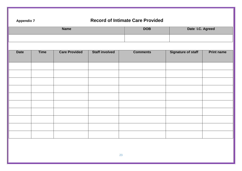## **Appendix 7 Record of Intimate Care Provided**

|             | Date I.C. Agreed<br><b>DOB</b> |                      |                       |                 |                           |                   |  |
|-------------|--------------------------------|----------------------|-----------------------|-----------------|---------------------------|-------------------|--|
|             |                                | <b>Name</b>          |                       |                 |                           |                   |  |
|             |                                |                      |                       |                 |                           |                   |  |
|             |                                |                      |                       |                 |                           |                   |  |
|             |                                |                      |                       |                 |                           |                   |  |
| <b>Date</b> | <b>Time</b>                    | <b>Care Provided</b> | <b>Staff involved</b> | <b>Comments</b> | <b>Signature of staff</b> | <b>Print name</b> |  |
|             |                                |                      |                       |                 |                           |                   |  |
|             |                                |                      |                       |                 |                           |                   |  |
|             |                                |                      |                       |                 |                           |                   |  |
|             |                                |                      |                       |                 |                           |                   |  |
|             |                                |                      |                       |                 |                           |                   |  |
|             |                                |                      |                       |                 |                           |                   |  |
|             |                                |                      |                       |                 |                           |                   |  |
|             |                                |                      |                       |                 |                           |                   |  |
|             |                                |                      |                       |                 |                           |                   |  |
|             |                                |                      |                       |                 |                           |                   |  |
|             |                                |                      |                       |                 |                           |                   |  |
|             |                                |                      |                       |                 |                           |                   |  |
|             |                                |                      |                       |                 |                           |                   |  |
|             |                                |                      |                       |                 |                           |                   |  |
|             |                                |                      |                       |                 |                           |                   |  |
|             |                                |                      |                       |                 |                           |                   |  |
|             |                                |                      |                       |                 |                           |                   |  |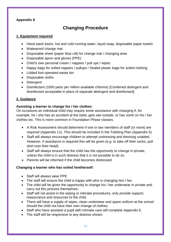## **Changing Procedure**

## **1. Equipment required**

- Hand wash basin, hot and cold running water, liquid soap, disposable paper towels
- Waterproof change mat
- Disposable sheet (paper blue roll) for change mat / changing area
- Disposable apron and gloves (PPE)
- Child's own personal cream / nappies / pull ups / wipes
- Nappy bags for soiled nappies / pullups / Sealed plastic bags for soiled clothing
- Lidded foot operated waste bin
- Disposable cloths
- Detergent
- Disinfectant (1000 parts per million available chlorine) [Combined detergent and disinfectant acceptable in place of separate detergent and disinfectant]

## **2. Guidance**

## **Assisting a learner to change his / her clothes:**

On occasions an individual child may require some assistance with changing if, for example, he / she has an accident at the toilet, gets wet outside, or has vomit on his / her clothes etc. This is more common in Foundation Phase classes.

- A Risk Assessment should determine if one or two members of staff (or more) are required (Appendix 11). This should be included in the Toileting Plan (Appendix 5).
- Staff will always encourage children to attempt undressing and dressing unaided. However, if assistance is required this will be given (e.g. to take off their socks, pull shirt over their head).
- Staff will always ensure that the child has the opportunity to change in private, unless the child is in such distress that it is not possible to do so.
- Parents will be informed if the child becomes distressed.

## **Changing a learner who has soiled him/herself:**

- Staff will always wear PPE
- The staff will ensure the child is happy with who is changing him / her.
- The child will be given the opportunity to change his / her underwear in private and carry out this process themselves.
- Staff will not assist in the wiping or intimate procedures, only provide support, reassurance and resources to the child.
- There will have a supply of wipes, clean underwear and spare uniform at the school should the child not have their own change of clothes.
- Staff who have assisted a pupil with intimate care will complete Appendix 6.
- The staff will be responsive to any distress shown.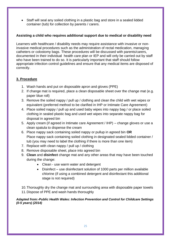Staff will seal any soiled clothing in a plastic bag and store in a sealed lidded container (tub) for collection by parents / carers.

## **Assisting a child who requires additional support due to medical or disability need**

Learners with healthcare / disability needs may require assistance with invasive or noninvasive medical procedures such as the administration of rectal medication, managing catheters or colostomy bags. These procedures will be discussed with parents/carers, documented in their individual health care plan or IEP and will only be carried out by staff who have been trained to do so. It is particularly important that staff should follow appropriate infection control guidelines and ensure that any medical items are disposed of correctly.

## **3. Procedure**

- 1. Wash hands and put on disposable apron and gloves (PPE)
- 2. If change mat is required, place a clean disposable sheet over the change mat (e.g. paper blue roll)
- 3. Remove the soiled nappy / pull up / clothing and clean the child with wet wipes or equivalent (preferred method to be clarified in IHP or Intimate Care Agreement)
- 4. Place soiled nappy / pull up and used baby wipes into nappy bag / or place soiled clothing in sealed plastic bag and used wet wipes into separate nappy bag for disposal in agreed bin
- 5. Apply cream (if agreed in Intimate care Agreement / IHP) change gloves or use a clean spatula to dispense the cream
- 6. Place nappy sack containing soiled nappy or pullup in agreed bin **OR** Place nappy sack containing soiled clothing in designated sealed lidded container / tub (you may need to label the clothing if there is more than one item)
- 7. Replace with clean nappy / pull up / clothing
- 8. Remove disposable sheet, place into agreed bin
- 9. **Clean** and **disinfect** change mat and any other areas that may have been touched during the change:
	- Clean use warm water and detergent
	- Disinfect use disinfectant solution of 1000 parts per million available chlorine (if using a combined detergent and disinfectant this additional stage is not required)

10.Thoroughly dry the change mat and surrounding area with disposable paper towels 11.Dispose of PPE and wash hands thoroughly

*Adapted from:-Public Health Wales: Infection Prevention and Control for Childcare Settings (0-5 years) (2014)*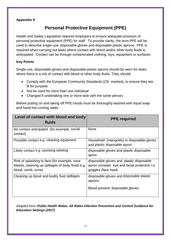## **Personal Protective Equipment (PPE)**

Health and Safety Legislation requires employers to ensure adequate provision of personal protective equipment (PPE) for staff. To provide clarity, the term PPE will be used to describe single-use, disposable gloves and disposable plastic aprons. PPE is required when carrying out tasks where contact with blood and/or other body fluids is anticipated. Contact can be through contaminated clothing, toys, equipment or surfaces.

## **Key Points**

Single-use, disposable gloves and disposable plastic aprons should be worn for tasks where there is a risk of contact with blood or other body fluids. They should:

- Comply with the European Community Standards (CE marked), to ensure they are fit for purpose
- Not be used for more than one individual
- Changed if undertaking one or more task with the same person.

Before putting on and taking off PPE hands must be thoroughly washed with liquid soap and hand-hot running water.

| Level of contact with blood and body<br>fluids                                                                            | <b>PPE</b> required                                                                                                    |
|---------------------------------------------------------------------------------------------------------------------------|------------------------------------------------------------------------------------------------------------------------|
| No contact anticipated (for example, social<br>contact)                                                                   | <b>None</b>                                                                                                            |
| Possible contact e.g. cleaning equipment                                                                                  | Household (marigolds) or disposable gloves<br>and plastic disposable apron                                             |
| Likely contact e.g. assisting toileting                                                                                   | disposable gloves and plastic disposable<br>apron                                                                      |
| Risk of splashing to face (for example, nose<br>bleeds, cleaning up spillages of body fluids e.g.<br>blood, vomit, urine) | disposable gloves and plastic disposable<br>apron consider eye and facial protection <i>i.e.</i><br>goggles /face mask |
| Cleaning up blood and bodily fluid spillages                                                                              | disposable gloves and disposable plastic<br>aprons<br>Blood present: disposable gloves                                 |
|                                                                                                                           |                                                                                                                        |

*Adapted from:-Public Health Wales: All Wales Infection Prevention and Control Guidance for Education Settings (2017)*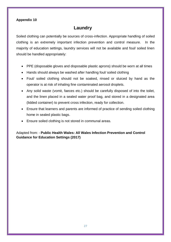## **Laundry**

Soiled clothing can potentially be sources of cross-infection. Appropriate handling of soiled clothing is an extremely important infection prevention and control measure. In the majority of education settings, laundry services will not be available and foul/ soiled linen should be handled appropriately:

- PPE (disposable gloves and disposable plastic aprons) should be worn at all times
- Hands should always be washed after handling foul/ soiled clothing
- Foul/ soiled clothing should not be soaked, rinsed or sluiced by hand as the operator is at risk of inhaling fine contaminated aerosol droplets.
- Any solid waste (vomit, faeces etc.) should be carefully disposed of into the toilet, and the linen placed in a sealed water proof bag, and stored in a designated area (lidded container) to prevent cross infection, ready for collection.
- Ensure that learners and parents are informed of practice of sending soiled clothing home in sealed plastic bags.
- Ensure soiled clothing is not stored in communal areas.

## Adapted from: - **Public Health Wales: All Wales Infection Prevention and Control Guidance for Education Settings (2017)**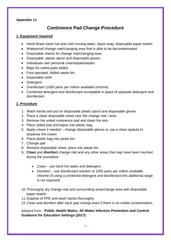## **Continence Pad Change Procedure**

## **1. Equipment required**

- Hand Wash basin hot and cold running water, liquid soap, disposable paper towels
- Waterproof change mat/changing area that is able to be decontaminated
- Disposable sheets for change mat/changing area
- Disposable plastic apron and disposable gloves
- Individuals own personal creams/pads/wipes
- Bags for soiled pads lidded
- Foot operated, lidded waste bin
- Disposable cloth
- Detergent
- Disinfectant (1000 parts per million available chlorine)
- Combined detergent and disinfectant acceptable in place of separate detergent and disinfectant

## **2. Procedure**

- 1. Wash hands and put on disposable plastic apron and disposable gloves
- 2. Place a clean disposable sheet over the change mat / area
- 3. Remove the soiled continence pad and clean the skin
- 4. Place soiled pad and wipes into plastic bag
- 5. Apply cream if needed change disposable gloves or use a clean spatula to dispense the cream
- 6. Place plastic bag into waste bin
- 7. Change pad
- 8. Remove disposable sheet, place into waste bin
- 9. **Clean** and **disinfect** change mat and any other areas that may have been touched during the procedure:
	- Clean use hand hot water and detergent
	- Disinfect use disinfectant solution of 1000 parts per million available chlorine (if using a combined detergent and disinfectant this additional stage is not required)
- 10.Thoroughly dry change mat and surrounding area/change area with disposable paper towels
- 11.Dispose of PPE and wash hands thoroughly
- 12.Clean and disinfect after each pad change even if there is no visible contamination.

## Adapted from: - **Public Health Wales: All Wales Infection Prevention and Control Guidance for Education Settings (2017)**